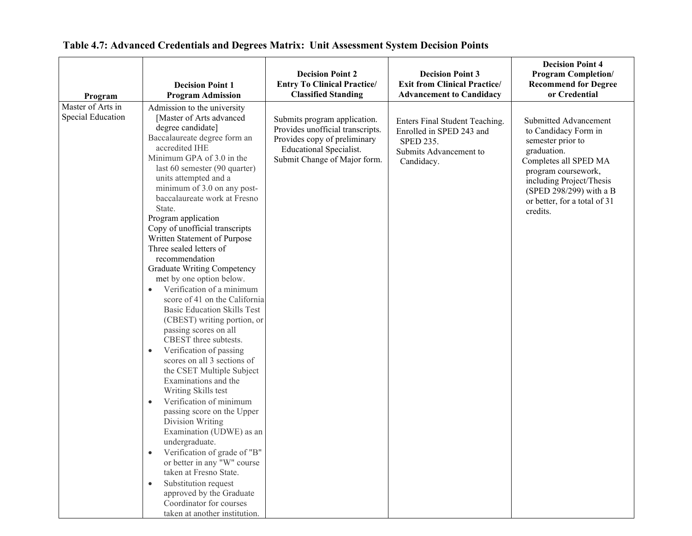| Program                                | <b>Decision Point 1</b><br><b>Program Admission</b>                                                                                                                                                                                                                                                                                                                                                                                                                                                                                                                                                                                                                                                                                                                                                                                                                                                                                                                                                                                                                                                                                                                                                                | <b>Decision Point 2</b><br><b>Entry To Clinical Practice/</b><br><b>Classified Standing</b>                                                                        | <b>Decision Point 3</b><br><b>Exit from Clinical Practice/</b><br><b>Advancement to Candidacy</b>                      | <b>Decision Point 4</b><br><b>Program Completion/</b><br><b>Recommend for Degree</b><br>or Credential                                                                                                                                |
|----------------------------------------|--------------------------------------------------------------------------------------------------------------------------------------------------------------------------------------------------------------------------------------------------------------------------------------------------------------------------------------------------------------------------------------------------------------------------------------------------------------------------------------------------------------------------------------------------------------------------------------------------------------------------------------------------------------------------------------------------------------------------------------------------------------------------------------------------------------------------------------------------------------------------------------------------------------------------------------------------------------------------------------------------------------------------------------------------------------------------------------------------------------------------------------------------------------------------------------------------------------------|--------------------------------------------------------------------------------------------------------------------------------------------------------------------|------------------------------------------------------------------------------------------------------------------------|--------------------------------------------------------------------------------------------------------------------------------------------------------------------------------------------------------------------------------------|
| Master of Arts in<br>Special Education | Admission to the university<br>[Master of Arts advanced<br>degree candidate]<br>Baccalaureate degree form an<br>accredited IHE<br>Minimum GPA of 3.0 in the<br>last 60 semester (90 quarter)<br>units attempted and a<br>minimum of 3.0 on any post-<br>baccalaureate work at Fresno<br>State.<br>Program application<br>Copy of unofficial transcripts<br>Written Statement of Purpose<br>Three sealed letters of<br>recommendation<br>Graduate Writing Competency<br>met by one option below.<br>Verification of a minimum<br>$\bullet$<br>score of 41 on the California<br><b>Basic Education Skills Test</b><br>(CBEST) writing portion, or<br>passing scores on all<br>CBEST three subtests.<br>Verification of passing<br>$\bullet$<br>scores on all 3 sections of<br>the CSET Multiple Subject<br>Examinations and the<br>Writing Skills test<br>Verification of minimum<br>$\bullet$<br>passing score on the Upper<br>Division Writing<br>Examination (UDWE) as an<br>undergraduate.<br>Verification of grade of "B"<br>or better in any "W" course<br>taken at Fresno State.<br>Substitution request<br>$\bullet$<br>approved by the Graduate<br>Coordinator for courses<br>taken at another institution. | Submits program application.<br>Provides unofficial transcripts.<br>Provides copy of preliminary<br><b>Educational Specialist.</b><br>Submit Change of Major form. | Enters Final Student Teaching.<br>Enrolled in SPED 243 and<br><b>SPED 235.</b><br>Submits Advancement to<br>Candidacy. | Submitted Advancement<br>to Candidacy Form in<br>semester prior to<br>graduation.<br>Completes all SPED MA<br>program coursework,<br>including Project/Thesis<br>(SPED 298/299) with a B<br>or better, for a total of 31<br>credits. |

## **Table 4.7: Advanced Credentials and Degrees Matrix: Unit Assessment System Decision Points**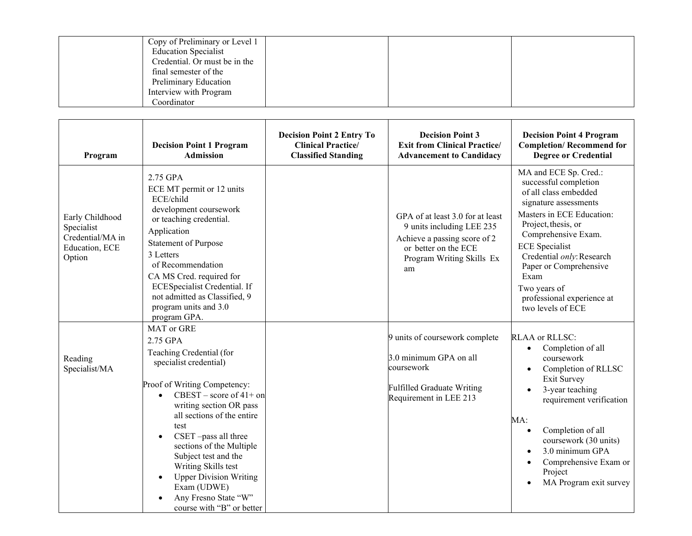| Copy of Preliminary or Level 1<br><b>Education Specialist</b> |  |
|---------------------------------------------------------------|--|
| Credential. Or must be in the                                 |  |
| final semester of the                                         |  |
| Preliminary Education                                         |  |
| Interview with Program                                        |  |
| Coordinator                                                   |  |

| Program                                                                       | <b>Decision Point 1 Program</b><br><b>Admission</b>                                                                                                                                                                                                                                                                                                                                                                            | <b>Decision Point 2 Entry To</b><br><b>Clinical Practice/</b><br><b>Classified Standing</b> | <b>Decision Point 3</b><br><b>Exit from Clinical Practice/</b><br><b>Advancement to Candidacy</b>                                                        | <b>Decision Point 4 Program</b><br><b>Completion/Recommend for</b><br><b>Degree or Credential</b>                                                                                                                                                                                                                                      |
|-------------------------------------------------------------------------------|--------------------------------------------------------------------------------------------------------------------------------------------------------------------------------------------------------------------------------------------------------------------------------------------------------------------------------------------------------------------------------------------------------------------------------|---------------------------------------------------------------------------------------------|----------------------------------------------------------------------------------------------------------------------------------------------------------|----------------------------------------------------------------------------------------------------------------------------------------------------------------------------------------------------------------------------------------------------------------------------------------------------------------------------------------|
| Early Childhood<br>Specialist<br>Credential/MA in<br>Education, ECE<br>Option | 2.75 GPA<br>ECE MT permit or 12 units<br>ECE/child<br>development coursework<br>or teaching credential.<br>Application<br><b>Statement of Purpose</b><br>3 Letters<br>of Recommendation<br>CA MS Cred. required for<br>ECESpecialist Credential. If<br>not admitted as Classified, 9<br>program units and 3.0<br>program GPA.                                                                                                  |                                                                                             | GPA of at least 3.0 for at least<br>9 units including LEE 235<br>Achieve a passing score of 2<br>or better on the ECE<br>Program Writing Skills Ex<br>am | MA and ECE Sp. Cred.:<br>successful completion<br>of all class embedded<br>signature assessments<br>Masters in ECE Education:<br>Project, thesis, or<br>Comprehensive Exam.<br><b>ECE</b> Specialist<br>Credential only: Research<br>Paper or Comprehensive<br>Exam<br>Two years of<br>professional experience at<br>two levels of ECE |
| Reading<br>Specialist/MA                                                      | MAT or GRE<br>2.75 GPA<br>Teaching Credential (for<br>specialist credential)<br>Proof of Writing Competency:<br>CBEST – score of $41+$ on<br>writing section OR pass<br>all sections of the entire<br>test<br>CSET-pass all three<br>$\bullet$<br>sections of the Multiple<br>Subject test and the<br>Writing Skills test<br><b>Upper Division Writing</b><br>Exam (UDWE)<br>Any Fresno State "W"<br>course with "B" or better |                                                                                             | 9 units of coursework complete<br>3.0 minimum GPA on all<br>coursework<br><b>Fulfilled Graduate Writing</b><br>Requirement in LEE 213                    | <b>RLAA</b> or RLLSC:<br>Completion of all<br>$\bullet$<br>coursework<br>Completion of RLLSC<br>Exit Survey<br>3-year teaching<br>requirement verification<br>MA:<br>Completion of all<br>coursework (30 units)<br>3.0 minimum GPA<br>Comprehensive Exam or<br>Project<br>MA Program exit survey                                       |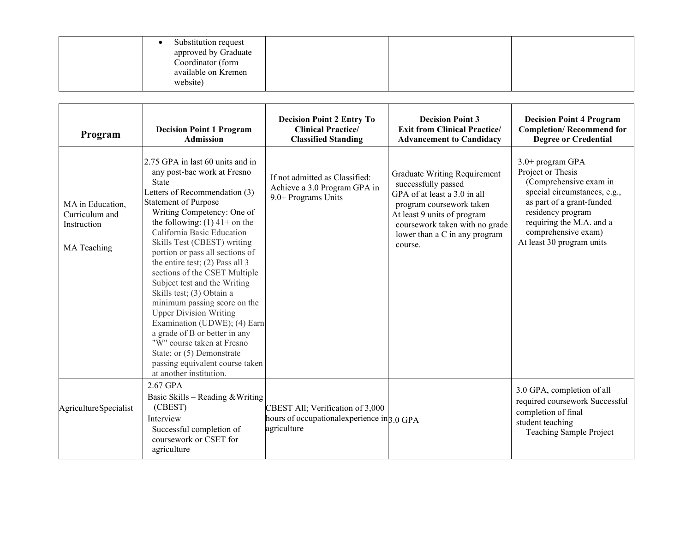| Substitution request<br>approved by Graduate<br>Coordinator (form<br>available on Kremen<br>website) |  |  |
|------------------------------------------------------------------------------------------------------|--|--|
|------------------------------------------------------------------------------------------------------|--|--|

| Program                                                          | <b>Decision Point 1 Program</b><br><b>Admission</b>                                                                                                                                                                                                                                                                                                                                                                                                                                                                                                                                                                                                                                                            | <b>Decision Point 2 Entry To</b><br><b>Clinical Practice/</b><br><b>Classified Standing</b>    | <b>Decision Point 3</b><br><b>Exit from Clinical Practice/</b><br><b>Advancement to Candidacy</b>                                                                                                                            | <b>Decision Point 4 Program</b><br><b>Completion/Recommend for</b><br><b>Degree or Credential</b>                                                                                                                                 |
|------------------------------------------------------------------|----------------------------------------------------------------------------------------------------------------------------------------------------------------------------------------------------------------------------------------------------------------------------------------------------------------------------------------------------------------------------------------------------------------------------------------------------------------------------------------------------------------------------------------------------------------------------------------------------------------------------------------------------------------------------------------------------------------|------------------------------------------------------------------------------------------------|------------------------------------------------------------------------------------------------------------------------------------------------------------------------------------------------------------------------------|-----------------------------------------------------------------------------------------------------------------------------------------------------------------------------------------------------------------------------------|
| MA in Education,<br>Curriculum and<br>Instruction<br>MA Teaching | 2.75 GPA in last 60 units and in<br>any post-bac work at Fresno<br><b>State</b><br>Letters of Recommendation (3)<br><b>Statement of Purpose</b><br>Writing Competency: One of<br>the following: $(1)$ 41+ on the<br>California Basic Education<br>Skills Test (CBEST) writing<br>portion or pass all sections of<br>the entire test; $(2)$ Pass all 3<br>sections of the CSET Multiple<br>Subject test and the Writing<br>Skills test; (3) Obtain a<br>minimum passing score on the<br><b>Upper Division Writing</b><br>Examination (UDWE); (4) Earn<br>a grade of B or better in any<br>"W" course taken at Fresno<br>State; or (5) Demonstrate<br>passing equivalent course taken<br>at another institution. | If not admitted as Classified:<br>Achieve a 3.0 Program GPA in<br>9.0+ Programs Units          | Graduate Writing Requirement<br>successfully passed<br>GPA of at least a 3.0 in all<br>program coursework taken<br>At least 9 units of program<br>coursework taken with no grade<br>lower than a C in any program<br>course. | 3.0+ program GPA<br>Project or Thesis<br>(Comprehensive exam in<br>special circumstances, e.g.,<br>as part of a grant-funded<br>residency program<br>requiring the M.A. and a<br>comprehensive exam)<br>At least 30 program units |
| Agriculture Specialist                                           | 2.67 GPA<br>Basic Skills - Reading & Writing<br>(CBEST)<br>Interview<br>Successful completion of<br>coursework or CSET for<br>agriculture                                                                                                                                                                                                                                                                                                                                                                                                                                                                                                                                                                      | CBEST All; Verification of 3,000<br>hours of occupational experience in 3.0 GPA<br>agriculture |                                                                                                                                                                                                                              | 3.0 GPA, completion of all<br>required coursework Successful<br>completion of final<br>student teaching<br>Teaching Sample Project                                                                                                |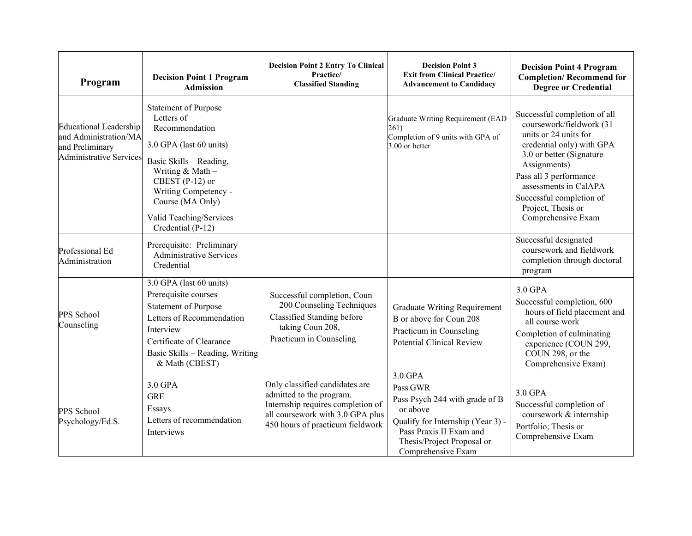| Program                                                                                                     | <b>Decision Point 1 Program</b><br><b>Admission</b>                                                                                                                                                                                                   | <b>Decision Point 2 Entry To Clinical</b><br>Practice/<br><b>Classified Standing</b>                                                                                    | <b>Decision Point 3</b><br><b>Exit from Clinical Practice/</b><br><b>Advancement to Candidacy</b>                                                                                     | <b>Decision Point 4 Program</b><br><b>Completion/Recommend for</b><br><b>Degree or Credential</b>                                                                                                                                                                                     |
|-------------------------------------------------------------------------------------------------------------|-------------------------------------------------------------------------------------------------------------------------------------------------------------------------------------------------------------------------------------------------------|-------------------------------------------------------------------------------------------------------------------------------------------------------------------------|---------------------------------------------------------------------------------------------------------------------------------------------------------------------------------------|---------------------------------------------------------------------------------------------------------------------------------------------------------------------------------------------------------------------------------------------------------------------------------------|
| <b>Educational Leadership</b><br>and Administration/MA<br>and Preliminary<br><b>Administrative Services</b> | <b>Statement of Purpose</b><br>Letters of<br>Recommendation<br>3.0 GPA (last 60 units)<br>Basic Skills - Reading,<br>Writing & Math-<br>CBEST $(P-12)$ or<br>Writing Competency -<br>Course (MA Only)<br>Valid Teaching/Services<br>Credential (P-12) |                                                                                                                                                                         | Graduate Writing Requirement (EAD<br>261)<br>Completion of 9 units with GPA of<br>3.00 or better                                                                                      | Successful completion of all<br>coursework/fieldwork (31<br>units or 24 units for<br>credential only) with GPA<br>3.0 or better (Signature<br>Assignments)<br>Pass all 3 performance<br>assessments in CalAPA<br>Successful completion of<br>Project, Thesis or<br>Comprehensive Exam |
| Professional Ed<br>Administration                                                                           | Prerequisite: Preliminary<br><b>Administrative Services</b><br>Credential                                                                                                                                                                             |                                                                                                                                                                         |                                                                                                                                                                                       | Successful designated<br>coursework and fieldwork<br>completion through doctoral<br>program                                                                                                                                                                                           |
| PPS School<br>Counseling                                                                                    | 3.0 GPA (last 60 units)<br>Prerequisite courses<br>Statement of Purpose<br>Letters of Recommendation<br>Interview<br>Certificate of Clearance<br>Basic Skills - Reading, Writing<br>& Math (CBEST)                                                    | Successful completion, Coun<br>200 Counseling Techniques<br>Classified Standing before<br>taking Coun 208,<br>Practicum in Counseling                                   | <b>Graduate Writing Requirement</b><br>B or above for Coun 208<br>Practicum in Counseling<br><b>Potential Clinical Review</b>                                                         | 3.0 GPA<br>Successful completion, 600<br>hours of field placement and<br>all course work<br>Completion of culminating<br>experience (COUN 299,<br>COUN 298, or the<br>Comprehensive Exam)                                                                                             |
| PPS School<br>Psychology/Ed.S.                                                                              | 3.0 GPA<br><b>GRE</b><br>Essays<br>Letters of recommendation<br><b>Interviews</b>                                                                                                                                                                     | Only classified candidates are<br>admitted to the program.<br>Internship requires completion of<br>all coursework with 3.0 GPA plus<br>450 hours of practicum fieldwork | 3.0 GPA<br>Pass GWR<br>Pass Psych 244 with grade of B<br>or above<br>Qualify for Internship (Year 3) -<br>Pass Praxis II Exam and<br>Thesis/Project Proposal or<br>Comprehensive Exam | 3.0 GPA<br>Successful completion of<br>coursework & internship<br>Portfolio; Thesis or<br>Comprehensive Exam                                                                                                                                                                          |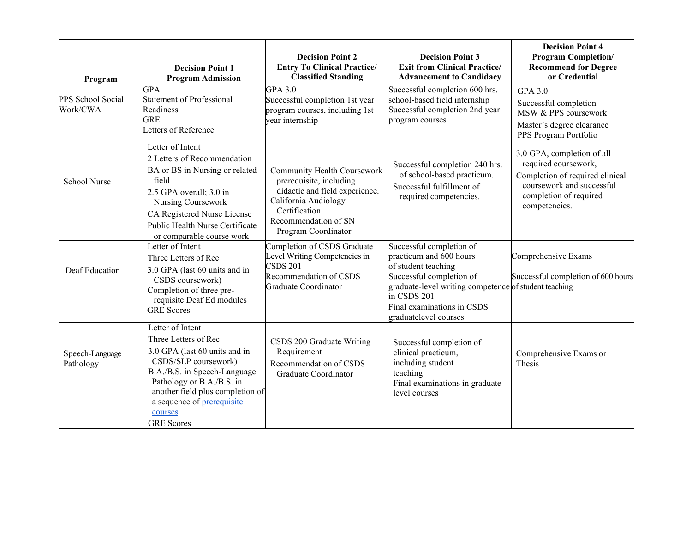| Program                       | <b>Decision Point 1</b><br><b>Program Admission</b>                                                                                                                                                                                                              | <b>Decision Point 2</b><br><b>Entry To Clinical Practice/</b><br><b>Classified Standing</b>                                                                                             | <b>Decision Point 3</b><br><b>Exit from Clinical Practice/</b><br><b>Advancement to Candidacy</b>                                                                                                                                     | <b>Decision Point 4</b><br><b>Program Completion/</b><br><b>Recommend for Degree</b><br>or Credential                                                         |
|-------------------------------|------------------------------------------------------------------------------------------------------------------------------------------------------------------------------------------------------------------------------------------------------------------|-----------------------------------------------------------------------------------------------------------------------------------------------------------------------------------------|---------------------------------------------------------------------------------------------------------------------------------------------------------------------------------------------------------------------------------------|---------------------------------------------------------------------------------------------------------------------------------------------------------------|
| PPS School Social<br>Work/CWA | <b>GPA</b><br><b>Statement of Professional</b><br>Readiness<br><b>GRE</b><br>Letters of Reference                                                                                                                                                                | GPA 3.0<br>Successful completion 1st year<br>program courses, including 1st<br>year internship                                                                                          | Successful completion 600 hrs.<br>school-based field internship<br>Successful completion 2nd year<br>program courses                                                                                                                  | <b>GPA 3.0</b><br>Successful completion<br>MSW & PPS coursework<br>Master's degree clearance<br>PPS Program Portfolio                                         |
| <b>School Nurse</b>           | Letter of Intent<br>2 Letters of Recommendation<br>BA or BS in Nursing or related<br>field<br>2.5 GPA overall; 3.0 in<br>Nursing Coursework<br>CA Registered Nurse License<br>Public Health Nurse Certificate<br>or comparable course work                       | <b>Community Health Coursework</b><br>prerequisite, including<br>didactic and field experience.<br>California Audiology<br>Certification<br>Recommendation of SN<br>Program Coordinator | Successful completion 240 hrs.<br>of school-based practicum.<br>Successful fulfillment of<br>required competencies.                                                                                                                   | 3.0 GPA, completion of all<br>required coursework,<br>Completion of required clinical<br>coursework and successful<br>completion of required<br>competencies. |
| Deaf Education                | Letter of Intent<br>Three Letters of Rec<br>3.0 GPA (last 60 units and in<br>CSDS coursework)<br>Completion of three pre-<br>requisite Deaf Ed modules<br><b>GRE</b> Scores                                                                                      | Completion of CSDS Graduate<br>Level Writing Competencies in<br><b>CSDS 201</b><br>Recommendation of CSDS<br>Graduate Coordinator                                                       | Successful completion of<br>practicum and 600 hours<br>of student teaching<br>Successful completion of<br>graduate-level writing competence of student teaching<br>in CSDS 201<br>Final examinations in CSDS<br>graduatelevel courses | Comprehensive Exams<br>Successful completion of 600 hours                                                                                                     |
| Speech-Language<br>Pathology  | Letter of Intent<br>Three Letters of Rec<br>3.0 GPA (last 60 units and in<br>CSDS/SLP coursework)<br>B.A./B.S. in Speech-Language<br>Pathology or B.A./B.S. in<br>another field plus completion of<br>a sequence of prerequisite<br>courses<br><b>GRE</b> Scores | CSDS 200 Graduate Writing<br>Requirement<br>Recommendation of CSDS<br>Graduate Coordinator                                                                                              | Successful completion of<br>clinical practicum,<br>including student<br>teaching<br>Final examinations in graduate<br>level courses                                                                                                   | Comprehensive Exams or<br>Thesis                                                                                                                              |